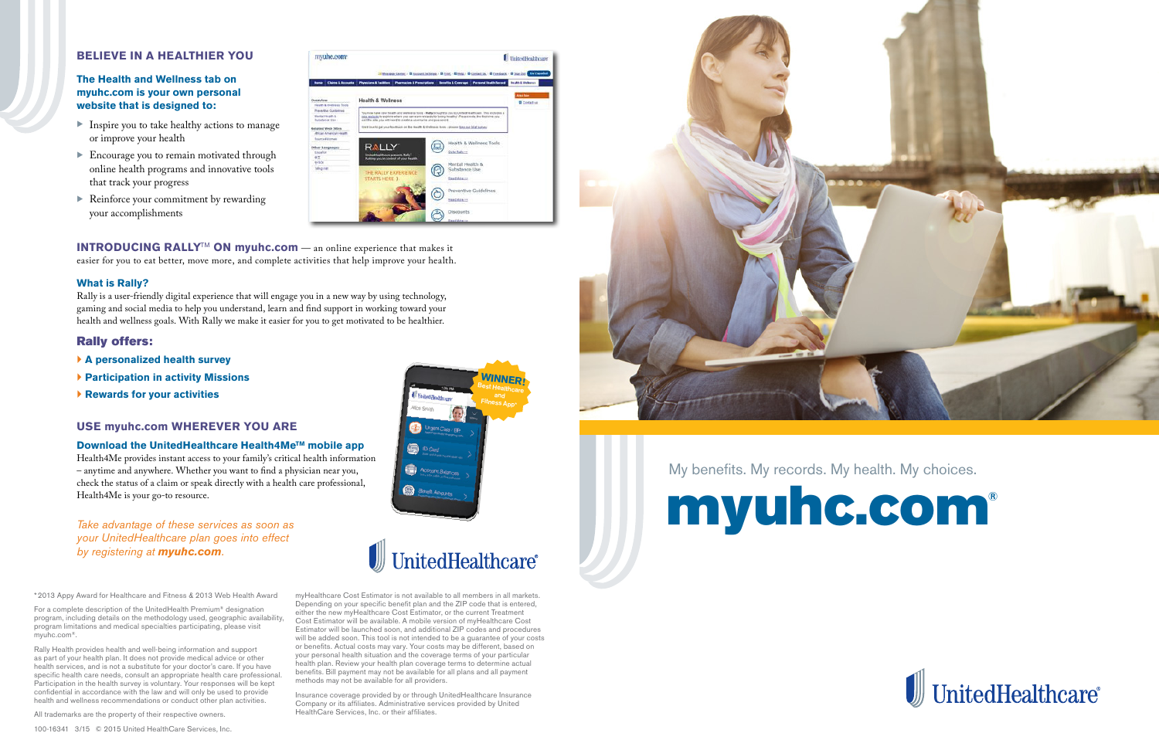### **BELIEVE IN A HEALTHIER YOU**

### **The Health and Wellness tab on myuhc.com is your own personal website that is designed to:**

- $\blacktriangleright$  Inspire you to take healthy actions to manage or improve your health
- Encourage you to remain motivated through online health programs and innovative tools that track your progress
- $\blacktriangleright$  Reinforce your commitment by rewarding your accomplishments

| myuhc.com-                                                          |                                                                                                                                                                                                                                                                              |                                                                                                                                                      | UnitedHealthcare                      |
|---------------------------------------------------------------------|------------------------------------------------------------------------------------------------------------------------------------------------------------------------------------------------------------------------------------------------------------------------------|------------------------------------------------------------------------------------------------------------------------------------------------------|---------------------------------------|
| <b>Claims &amp; Accounts</b><br><b>Home</b>                         | Physicians & Facilities   Phermacian & Prescriptions   Neoelfix & Common                                                                                                                                                                                                     | Til Message Center, / El Aucount Settimas, / El Pont, / El Paris, / El Contest Ja. / El Centesk - El Sue Dui Can Español<br>Personal iteativ fareout | <b>Bratis &amp; Wellerce</b>          |
| Overview<br><b>Finally, &amp; Illustrates Tools</b>                 | <b>Health &amp; Wellness</b>                                                                                                                                                                                                                                                 |                                                                                                                                                      | <b>Algo Sav</b><br><b>B</b> Contactus |
| <b>Preventive Contentines</b><br>Mental Titulen &<br>Bulletance Use | You now have new beath and wellness tools - Bally brought to you by UnitedNeathcare. This includes a<br>inter website to explore where you can east rewards for being healthy! Please note the first time you.<br>Downsed box whemselv a share of bean the cor site art tan- |                                                                                                                                                      |                                       |
| <b>Related Web Sites</b><br>ABSCAN American Health                  | We'll love to get your feedback on the Health & Wedness toors - please take our brief survey                                                                                                                                                                                 |                                                                                                                                                      |                                       |
| <b>Baumed</b> Women<br>Other Languages<br>Executive                 | RALLY                                                                                                                                                                                                                                                                        | Health & Wellness Tools<br>Go to Raily no                                                                                                            |                                       |
| 42<br><b>11900</b>                                                  | UnitedHealthcare presents Kaly".<br>Putting you've control of your health                                                                                                                                                                                                    | Mental Health &                                                                                                                                      |                                       |
| Tiếng Wit                                                           | THE RALLY EXPERIENCE<br><b>STARTS HERE 3</b>                                                                                                                                                                                                                                 | Substance Use<br><b>Reaction</b> <<                                                                                                                  |                                       |
|                                                                     |                                                                                                                                                                                                                                                                              | Preventive Guidelines                                                                                                                                |                                       |
|                                                                     |                                                                                                                                                                                                                                                                              | <b>BeatMark vs</b>                                                                                                                                   |                                       |
|                                                                     |                                                                                                                                                                                                                                                                              | <b>Discounts</b>                                                                                                                                     |                                       |

\*2013 Appy Award for Healthcare and Fitness & 2013 Web Health Award

For a complete description of the UnitedHealth Premium® designation program, including details on the methodology used, geographic availability, program limitations and medical specialties participating, please visit myuhc.com®.

Rally Health provides health and well-being information and support as part of your health plan. It does not provide medical advice or other health services, and is not a substitute for your doctor's care. If you have specific health care needs, consult an appropriate health care professional. Participation in the health survey is voluntary. Your responses will be kept confidential in accordance with the law and will only be used to provide health and wellness recommendations or conduct other plan activities.

All trademarks are the property of their respective owners.

**INTRODUCING RALLY<sup>™</sup> ON myuhc.com** — an online experience that makes it easier for you to eat better, move more, and complete activities that help improve your health.

> myHealthcare Cost Estimator is not available to all members in all markets. Depending on your specific benefit plan and the ZIP code that is entered, either the new myHealthcare Cost Estimator, or the current Treatment Cost Estimator will be available. A mobile version of myHealthcare Cost Estimator will be launched soon, and additional ZIP codes and procedures will be added soon. This tool is not intended to be a guarantee of your costs or benefits. Actual costs may vary. Your costs may be different, based on your personal health situation and the coverage terms of your particular health plan. Review your health plan coverage terms to determine actual benefits. Bill payment may not be available for all plans and all payment methods may not be available for all providers.

**Download the UnitedHealthcare Health4Me™ mobile app** Health4Me provides instant access to your family's critical health information – anytime and anywhere. Whether you want to find a physician near you, check the status of a claim or speak directly with a health care professional, Health4Me is your go-to resource.

> Insurance coverage provided by or through UnitedHealthcare Insurance Company or its affiliates. Administrative services provided by United HealthCare Services, Inc. or their affiliates.



100-16341 3/15 © 2015 United HealthCare Services, Inc.

*Take advantage of these services as soon as your UnitedHealthcare plan goes into effect by registering at myuhc.com.*

# My benefits. My records. My health. My choices. myuhc.com®









#### **What is Rally?**

Rally is a user-friendly digital experience that will engage you in a new way by using technology, gaming and social media to help you understand, learn and find support in working toward your health and wellness goals. With Rally we make it easier for you to get motivated to be healthier.

### Rally offers:

- **A personalized health survey**
- **Participation in activity Missions**
- **Rewards for your activities**

### **USE myuhc.com WHEREVER YOU ARE**